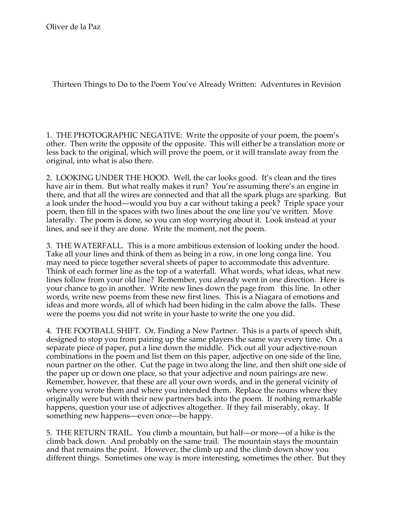Thirteen Things to Do to the Poem You've Already Written: Adventures in Revision

1. THE PHOTOGRAPHIC NEGATIVE: Write the opposite of your poem, the poem's other. Then write the opposite of the opposite. This will either be a translation more or less back to the original, which will prove the poem, or it will translate away from the original, into what is also there.

2. LOOKING UNDER THE HOOD. Well, the car looks good. It's clean and the tires have air in them. But what really makes it run? You're assuming there's an engine in there, and that all the wires are connected and that all the spark plugs are sparking. But a look under the hood—would you buy a car without taking a peek? Triple space your poem, then fill in the spaces with two lines about the one line you've written. Move laterally. The poem is done, so you can stop worrying about it. Look instead at your lines, and see if they are done. Write the moment, not the poem.

3. THE WATERFALL. This is a more ambitious extension of looking under the hood. Take all your lines and think of them as being in a row, in one long conga line. You may need to piece together several sheets of paper to accommodate this adventure. Think of each former line as the top of a waterfall. What words, what ideas, what new lines follow from your old line? Remember, you already went in one direction. Here is your chance to go in another. Write new lines down the page from this line. In other words, write new poems from these new first lines. This is a Niagara of emotions and ideas and more words, all of which had been hiding in the calm above the falls. These were the poems you did not write in your haste to write the one you did.

4. THE FOOTBALL SHIFT. Or, Finding a New Partner. This is a parts of speech shift, designed to stop you from pairing up the same players the same way every time. On a separate piece of paper, put a line down the middle. Pick out all your adjective-noun combinations in the poem and list them on this paper, adjective on one side of the line, noun partner on the other. Cut the page in two along the line, and then shift one side of the paper up or down one place, so that your adjective and noun pairings are new. Remember, however, that these are all your own words, and in the general vicinity of where you wrote them and where you intended them. Replace the nouns where they originally were but with their new partners back into the poem. If nothing remarkable happens, question your use of adjectives altogether. If they fail miserably, okay. If something new happens—even once—be happy.

5. THE RETURN TRAIL. You climb a mountain, but half—or more—of a hike is the climb back down. And probably on the same trail. The mountain stays the mountain and that remains the point. However, the climb up and the climb down show you different things. Sometimes one way is more interesting, sometimes the other. But they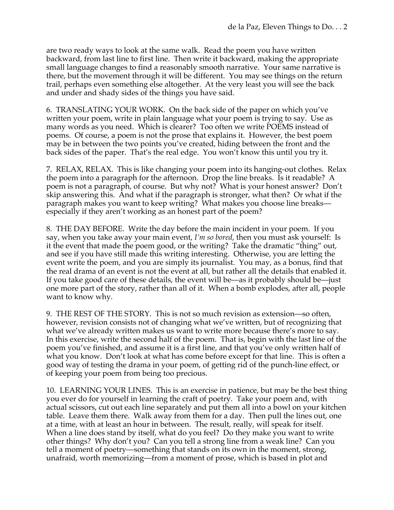are two ready ways to look at the same walk. Read the poem you have written backward, from last line to first line. Then write it backward, making the appropriate small language changes to find a reasonably smooth narrative. Your same narrative is there, but the movement through it will be different. You may see things on the return trail, perhaps even something else altogether. At the very least you will see the back and under and shady sides of the things you have said.

6. TRANSLATING YOUR WORK. On the back side of the paper on which you've written your poem, write in plain language what your poem is trying to say. Use as many words as you need. Which is clearer? Too often we write POEMS instead of poems. Of course, a poem is not the prose that explains it. However, the best poem may be in between the two points you've created, hiding between the front and the back sides of the paper. That's the real edge. You won't know this until you try it.

7. RELAX, RELAX. This is like changing your poem into its hanging-out clothes. Relax the poem into a paragraph for the afternoon. Drop the line breaks. Is it readable? A poem is not a paragraph, of course. But why not? What is your honest answer? Don't skip answering this. And what if the paragraph is stronger, what then? Or what if the paragraph makes you want to keep writing? What makes you choose line breaks especially if they aren't working as an honest part of the poem?

8. THE DAY BEFORE. Write the day before the main incident in your poem. If you say, when you take away your main event, *I'm so bored*, then you must ask yourself: Is it the event that made the poem good, or the writing? Take the dramatic "thing" out, and see if you have still made this writing interesting. Otherwise, you are letting the event write the poem, and you are simply its journalist. You may, as a bonus, find that the real drama of an event is not the event at all, but rather all the details that enabled it. If you take good care of these details, the event will be—as it probably should be—just one more part of the story, rather than all of it. When a bomb explodes, after all, people want to know why.

9. THE REST OF THE STORY. This is not so much revision as extension—so often, however, revision consists not of changing what we've written, but of recognizing that what we've already written makes us want to write more because there's more to say. In this exercise, write the second half of the poem. That is, begin with the last line of the poem you've finished, and assume it is a first line, and that you've only written half of what you know. Don't look at what has come before except for that line. This is often a good way of testing the drama in your poem, of getting rid of the punch-line effect, or of keeping your poem from being too precious.

10. LEARNING YOUR LINES. This is an exercise in patience, but may be the best thing you ever do for yourself in learning the craft of poetry. Take your poem and, with actual scissors, cut out each line separately and put them all into a bowl on your kitchen table. Leave them there. Walk away from them for a day. Then pull the lines out, one at a time, with at least an hour in between. The result, really, will speak for itself. When a line does stand by itself, what do you feel? Do they make you want to write other things? Why don't you? Can you tell a strong line from a weak line? Can you tell a moment of poetry—something that stands on its own in the moment, strong, unafraid, worth memorizing—from a moment of prose, which is based in plot and